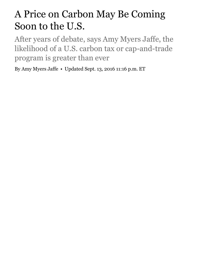# A Price on Carbon May Be Coming Soon to the U.S.

After years of debate, says Amy Myers Jaffe, the likelihood of a U.S. carbon tax or cap-and-trade program is greater than ever

By Amy Myers Jaffe • Updated Sept. 13, 2016 11:16 p.m. ET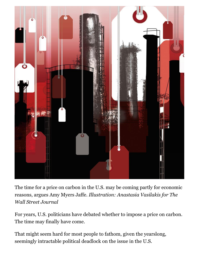

The time for a price on carbon in the U.S. may be coming partly for economic reasons, argues Amy Myers Jaffe. *Illustration: Anastasia Vasilakis for The Wall Street Journal*

For years, U.S. politicians have debated whether to impose a price on carbon. The time may finally have come.

That might seem hard for most people to fathom, given the yearslong, seemingly intractable political deadlock on the issue in the U.S.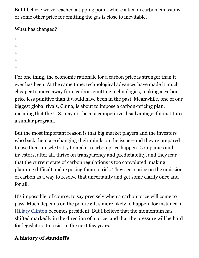But I believe we've reached a tipping point, where a tax on carbon emissions or some other price for emitting the gas is close to inevitable.

## What has changed?

```
\Delta
```
For one thing, the economic rationale for a carbon price is stronger than it ever has been. At the same time, technological advances have made it much cheaper to move away from carbon-emitting technologies, making a carbon price less punitive than it would have been in the past. Meanwhile, one of our biggest global rivals, China, is about to impose a carbon-pricing plan, meaning that the U.S. may not be at a competitive disadvantage if it institutes a similar program.

But the most important reason is that big market players and the investors who back them are changing their minds on the issue—and they're prepared to use their muscle to try to make a carbon price happen. Companies and investors, after all, thrive on transparency and predictability, and they fear that the current state of carbon regulations is too convoluted, making planning difficult and exposing them to risk. They see a price on the emission of carbon as a way to resolve that uncertainty and get some clarity once and for all.

It's impossible, of course, to say precisely when a carbon price will come to pass. Much depends on the politics: It's more likely to happen, for instance, if Hillary Clinton becomes president. But I believe that the momentum has shifted markedly in the direction of a price, and that the pressure will be hard for legislators to resist in the next few years.

## **A history of standoffs**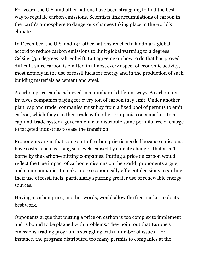For years, the U.S. and other nations have been struggling to find the best way to regulate carbon emissions. Scientists link accumulations of carbon in the Earth's atmosphere to dangerous changes taking place in the world's climate.

In December, the U.S. and 194 other nations reached a landmark global accord to reduce carbon emissions to limit global warming to 2 degrees Celsius (3.6 degrees Fahrenheit). But agreeing on how to do that has proved difficult, since carbon is emitted in almost every aspect of economic activity, most notably in the use of fossil fuels for energy and in the production of such building materials as cement and steel.

A carbon price can be achieved in a number of different ways. A carbon tax involves companies paying for every ton of carbon they emit. Under another plan, cap and trade, companies must buy from a fixed pool of permits to emit carbon, which they can then trade with other companies on a market. In a cap-and-trade system, government can distribute some permits free of charge to targeted industries to ease the transition.

Proponents argue that some sort of carbon price is needed because emissions have costs—such as rising sea levels caused by climate change—that aren't borne by the carbon-emitting companies. Putting a price on carbon would reflect the true impact of carbon emissions on the world, proponents argue, and spur companies to make more economically efficient decisions regarding their use of fossil fuels, particularly spurring greater use of renewable energy sources.

Having a carbon price, in other words, would allow the free market to do its best work.

Opponents argue that putting a price on carbon is too complex to implement and is bound to be plagued with problems. They point out that Europe's emissions-trading program is struggling with a number of issues—for instance, the program distributed too many permits to companies at the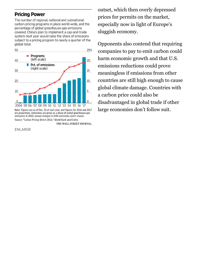#### **Pricing Power**

The number of regional, national and subnational carbon-pricing programs in place world-wide, and the percentage of global greenhouse-gas emissions covered. China's plan to implement a cap-and-trade system next year would raise the share of emissions subject to a pricing program to nearly a quarter of the global total.



Note: Figures are as of Dec. 31 of each year, and figures for 2016 and 2017 are projections. Emissions are given as a share of global greenhouse-gas emissions in 2012; annual changes in GHG emissions aren't shown. Source: "Carbon Pricing Watch 2016," World Bank and Ecofys THE WALL STREET JOURNAL.

ENLARGE

outset, which then overly depressed prices for permits on the market, especially now in light of Europe's sluggish economy.

Opponents also contend that requiring companies to pay to emit carbon could harm economic growth and that U.S. emissions reductions could prove meaningless if emissions from other countries are still high enough to cause global climate damage. Countries with a carbon price could also be disadvantaged in global trade if other large economies don't follow suit.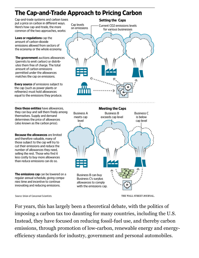# **The Cap-and-Trade Approach to Pricing Carbon**

Cap-and-trade systems and carbon taxes put a price on carbon in different ways. Here's how cap-and-trade, the more common of the two approaches, works:

Laws or regulations cap the amount of carbon-dioxide emissions allowed from sectors of the economy or the whole economy.

The government auctions allowances (permits to emit carbon) or distributes them free of charge. The total amount of carbon emissions permitted under the allowances matches the cap on emissions.

Every source of emissions subject to the cap (such as power plants or refineries) must hold allowances equal to the emissions they produce.

**Once these entities** have allowances. they can buy and sell them freely among themselves. Supply and demand determines the price of allowances (also known as the carbon price).

**Because the allowances** are limited and therefore valuable, many of those subject to the cap will try to cut their emissions and reduce the number of allowances they need, selling the rest. Those who find it less costly to buy more allowances than reduce emissions can do so.

The emissions cap can be lowered on a regular annual schedule, giving companies time and incentive to continue innovating and reducing emissions.

Source: Union of Concerned Scientists

**Setting the Caps** 





THE WALL STREET JOURNAL.

For years, this has largely been a theoretical debate, with the politics of imposing a carbon tax too daunting for many countries, including the U.S. Instead, they have focused on reducing fossil-fuel use, and thereby carbon emissions, through promotion of low-carbon, renewable energy and energyefficiency standards for industry, government and personal automobiles.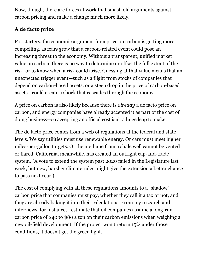Now, though, there are forces at work that smash old arguments against carbon pricing and make a change much more likely.

## **A de facto price**

For starters, the economic argument for a price on carbon is getting more compelling, as fears grow that a carbon-related event could pose an increasing threat to the economy. Without a transparent, unified market value on carbon, there is no way to determine or offset the full extent of the risk, or to know when a risk could arise. Guessing at that value means that an unexpected trigger event—such as a flight from stocks of companies that depend on carbon-based assets, or a steep drop in the price of carbon-based assets—could create a shock that cascades through the economy.

A price on carbon is also likely because there is *already* a de facto price on carbon, and energy companies have already accepted it as part of the cost of doing business—so accepting an official cost isn't a huge leap to make.

The de facto price comes from a web of regulations at the federal and state levels. We say utilities must use renewable energy. Or cars must meet higher miles-per-gallon targets. Or the methane from a shale well cannot be vented or flared. California, meanwhile, has created an outright cap-and-trade system. (A vote to extend the system past 2020 failed in the Legislature last week, but new, harsher climate rules might give the extension a better chance to pass next year.)

The cost of complying with all these regulations amounts to a "shadow" carbon price that companies must pay, whether they call it a tax or not, and they are already baking it into their calculations. From my research and interviews, for instance, I estimate that oil companies assume a long-run carbon price of \$40 to \$80 a ton on their carbon emissions when weighing a new oil-field development. If the project won't return 15% under those conditions, it doesn't get the green light.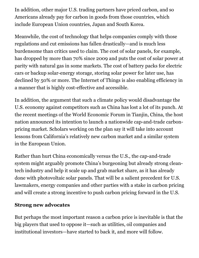In addition, other major U.S. trading partners have priced carbon, and so Americans already pay for carbon in goods from those countries, which include European Union countries, Japan and South Korea.

Meanwhile, the cost of technology that helps companies comply with those regulations and cut emissions has fallen drastically—and is much less burdensome than critics used to claim. The cost of solar panels, for example, has dropped by more than 70% since 2009 and puts the cost of solar power at parity with natural gas in some markets. The cost of battery packs for electric cars or backup solar-energy storage, storing solar power for later use, has declined by 50% or more. The Internet of Things is also enabling efficiency in a manner that is highly cost-effective and accessible.

In addition, the argument that such a climate policy would disadvantage the U.S. economy against competitors such as China has lost a lot of its punch. At the recent meetings of the World Economic Forum in Tianjin, China, the host nation announced its intention to launch a nationwide cap-and-trade carbonpricing market. Scholars working on the plan say it will take into account lessons from California's relatively new carbon market and a similar system in the European Union.

Rather than hurt China economically versus the U.S., the cap-and-trade system might arguably promote China's burgeoning but already strong cleantech industry and help it scale up and grab market share, as it has already done with photovoltaic solar panels. That will be a salient precedent for U.S. lawmakers, energy companies and other parties with a stake in carbon pricing and will create a strong incentive to push carbon pricing forward in the U.S.

### **Strong new advocates**

But perhaps the most important reason a carbon price is inevitable is that the big players that used to oppose it—such as utilities, oil companies and institutional investors—have started to back it, and more will follow.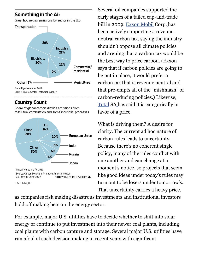### **Something in the Air**

Greenhouse-gas emissions by sector in the U.S.



Source: Enviromental Protection Agency

## **Country Count**

Share of global carbon-dioxide emissions from fossil-fuel combustion and some industrial processes



Source: Carbon Dioxide Information Analysis Center, THE WALL STREET JOURNAL. **U.S. Energy Department** 

ENLARGE

Several oil companies supported the early stages of a failed cap-and-trade bill in 2009. Exxon Mobil Corp. has been actively supporting a revenueneutral carbon tax, saying the industry shouldn't oppose all climate policies and arguing that a carbon tax would be the best way to price carbon. (Exxon says that if carbon policies are going to be put in place, it would prefer a carbon tax that is revenue neutral and that pre-empts all of the "mishmash" of carbon-reducing policies.) Likewise, Total SA has said it is categorically in favor of a price.

What is driving them? A desire for clarity. The current ad hoc nature of carbon rules leads to uncertainty. Because there's no coherent single policy, many of the rules conflict with one another and can change at a moment's notice, so projects that seem like good ideas under today's rules may turn out to be losers under tomorrow's. That uncertainty carries a heavy price,

as companies risk making disastrous investments and institutional investors hold off making bets on the energy sector.

For example, major U.S. utilities have to decide whether to shift into solar energy or continue to put investment into their newer coal plants, including coal plants with carbon capture and storage. Several major U.S. utilities have run afoul of such decision making in recent years with significant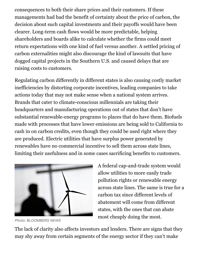consequences to both their share prices and their customers. If these managements had had the benefit of certainty about the price of carbon, the decision about such capital investments and their payoffs would have been clearer. Long-term cash flows would be more predictable, helping shareholders and boards alike to calculate whether the firms could meet return expectations with one kind of fuel versus another. A settled pricing of carbon externalities might also discourage the kind of lawsuits that have dogged capital projects in the Southern U.S. and caused delays that are raising costs to customers.

Regulating carbon differently in different states is also causing costly market inefficiencies by distorting corporate incentives, leading companies to take actions today that may not make sense when a national system arrives. Brands that cater to climate-conscious millennials are taking their headquarters and manufacturing operations out of states that don't have substantial renewable-energy programs to places that do have them. Biofuels made with processes that have lower emissions are being sold to California to cash in on carbon credits, even though they could be used right where they are produced. Electric utilities that have surplus power generated by renewables have no commercial incentive to sell them across state lines, limiting their usefulness and in some cases sacrificing benefits to customers.



*Photo: BLOOMBERG NEWS*

A federal cap-and-trade system would allow utilities to more easily trade pollution rights or renewable energy across state lines. The same is true for a carbon tax since different levels of abatement will come from different states, with the ones that can abate most cheaply doing the most.

The lack of clarity also affects investors and lenders. There are signs that they may shy away from certain segments of the energy sector if they can't make